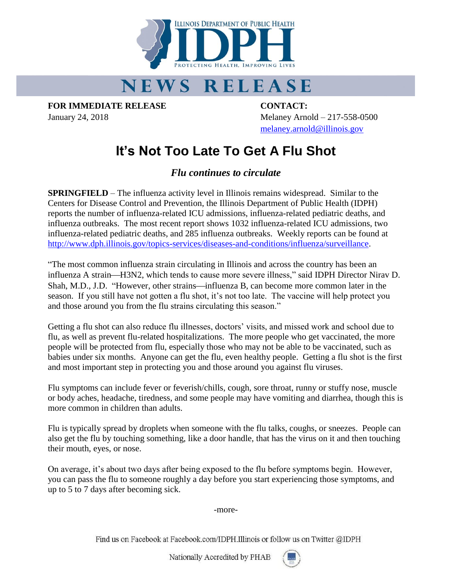

## **NEWS RELEASE**

**FOR IMMEDIATE RELEASE CONTACT:**

January 24, 2018 Melaney Arnold – 217-558-0500 [melaney.arnold@illinois.gov](mailto:melaney.arnold@illinois.gov)

## **It's Not Too Late To Get A Flu Shot**

*Flu continues to circulate*

**SPRINGFIELD** – The influenza activity level in Illinois remains widespread. Similar to the Centers for Disease Control and Prevention, the Illinois Department of Public Health (IDPH) reports the number of influenza-related ICU admissions, influenza-related pediatric deaths, and influenza outbreaks. The most recent report shows 1032 influenza-related ICU admissions, two influenza-related pediatric deaths, and 285 influenza outbreaks. Weekly reports can be found at [http://www.dph.illinois.gov/topics-services/diseases-and-conditions/influenza/surveillance.](http://www.dph.illinois.gov/topics-services/diseases-and-conditions/influenza/surveillance)

"The most common influenza strain circulating in Illinois and across the country has been an influenza A strain—H3N2, which tends to cause more severe illness," said IDPH Director Nirav D. Shah, M.D., J.D. "However, other strains—influenza B, can become more common later in the season. If you still have not gotten a flu shot, it's not too late. The vaccine will help protect you and those around you from the flu strains circulating this season."

Getting a flu shot can also reduce flu illnesses, doctors' visits, and missed work and school due to flu, as well as prevent flu-related hospitalizations. The more people who get vaccinated, the more people will be protected from flu, especially those who may not be able to be vaccinated, such as babies under six months. Anyone can get the flu, even healthy people. Getting a flu shot is the first and most important step in protecting you and those around you against flu viruses.

Flu symptoms can include fever or feverish/chills, cough, sore throat, runny or stuffy nose, muscle or body aches, headache, tiredness, and some people may have vomiting and diarrhea, though this is more common in children than adults.

Flu is typically spread by droplets when someone with the flu talks, coughs, or sneezes. People can also get the flu by touching something, like a door handle, that has the virus on it and then touching their mouth, eyes, or nose.

On average, it's about two days after being exposed to the flu before symptoms begin. However, you can pass the flu to someone roughly a day before you start experiencing those symptoms, and up to 5 to 7 days after becoming sick.

-more-

Find us on Facebook at Facebook.com/IDPH.Illinois or follow us on Twitter @IDPH

Nationally Accredited by PHAB